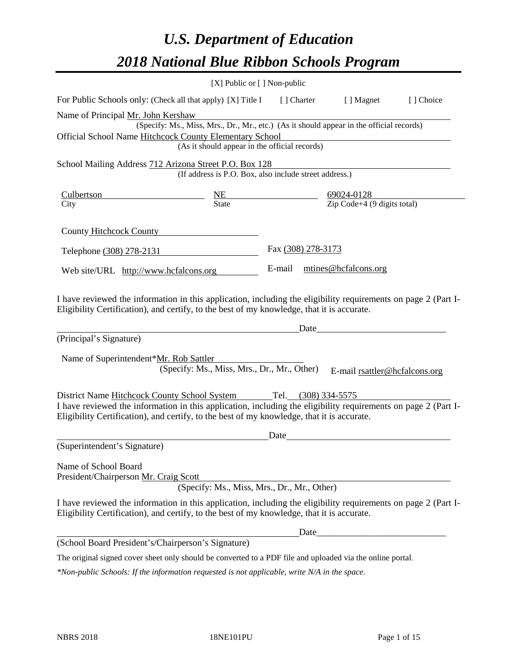# *U.S. Department of Education 2018 National Blue Ribbon Schools Program*

|                                                                                                                                                                                                                                                              | $[X]$ Public or $[ \ ]$ Non-public                                                                                                        |                     |                                                         |           |
|--------------------------------------------------------------------------------------------------------------------------------------------------------------------------------------------------------------------------------------------------------------|-------------------------------------------------------------------------------------------------------------------------------------------|---------------------|---------------------------------------------------------|-----------|
| For Public Schools only: (Check all that apply) [X] Title I [] Charter                                                                                                                                                                                       |                                                                                                                                           |                     | [ ] Magnet                                              | [] Choice |
| Name of Principal Mr. John Kershaw<br>Official School Name Hitchcock County Elementary School                                                                                                                                                                | (Specify: Ms., Miss, Mrs., Dr., Mr., etc.) (As it should appear in the official records)<br>(As it should appear in the official records) |                     |                                                         |           |
|                                                                                                                                                                                                                                                              |                                                                                                                                           |                     |                                                         |           |
| School Mailing Address 712 Arizona Street P.O. Box 128                                                                                                                                                                                                       | (If address is P.O. Box, also include street address.)                                                                                    |                     |                                                         |           |
| <b>Culbertson</b><br><u> 1980 - Johann Barnett, fransk politiker (</u>                                                                                                                                                                                       |                                                                                                                                           |                     |                                                         |           |
| City                                                                                                                                                                                                                                                         | $\frac{NE}{State}$                                                                                                                        |                     | $\frac{69024-0128}{\text{Zip Code}+4 (9 digits total)}$ |           |
| County Hitchcock County                                                                                                                                                                                                                                      |                                                                                                                                           |                     |                                                         |           |
| Telephone (308) 278-2131                                                                                                                                                                                                                                     |                                                                                                                                           | Fax (308) 278-3173  |                                                         |           |
| Web site/URL http://www.hcfalcons.org                                                                                                                                                                                                                        |                                                                                                                                           | E-mail              | mtines@hcfalcons.org                                    |           |
| (Principal's Signature)<br>Name of Superintendent*Mr. Rob Sattler                                                                                                                                                                                            | (Specify: Ms., Miss, Mrs., Dr., Mr., Other)                                                                                               | Date                | E-mail rsattler@hcfalcons.org                           |           |
| District Name Hitchcock County School System<br>I have reviewed the information in this application, including the eligibility requirements on page 2 (Part I-<br>Eligibility Certification), and certify, to the best of my knowledge, that it is accurate. |                                                                                                                                           | Tel. (308) 334-5575 |                                                         |           |
|                                                                                                                                                                                                                                                              |                                                                                                                                           | Date                |                                                         |           |
| (Superintendent's Signature)                                                                                                                                                                                                                                 |                                                                                                                                           |                     |                                                         |           |
| Name of School Board<br>President/Chairperson Mr. Craig Scott                                                                                                                                                                                                | (Specify: Ms., Miss, Mrs., Dr., Mr., Other)                                                                                               |                     |                                                         |           |
| I have reviewed the information in this application, including the eligibility requirements on page 2 (Part I-<br>Eligibility Certification), and certify, to the best of my knowledge, that it is accurate.                                                 |                                                                                                                                           |                     |                                                         |           |
|                                                                                                                                                                                                                                                              |                                                                                                                                           |                     |                                                         |           |
| (School Board President's/Chairperson's Signature)                                                                                                                                                                                                           |                                                                                                                                           |                     |                                                         |           |
| The original signed cover sheet only should be converted to a PDF file and uploaded via the online portal.                                                                                                                                                   |                                                                                                                                           |                     |                                                         |           |

*\*Non-public Schools: If the information requested is not applicable, write N/A in the space.*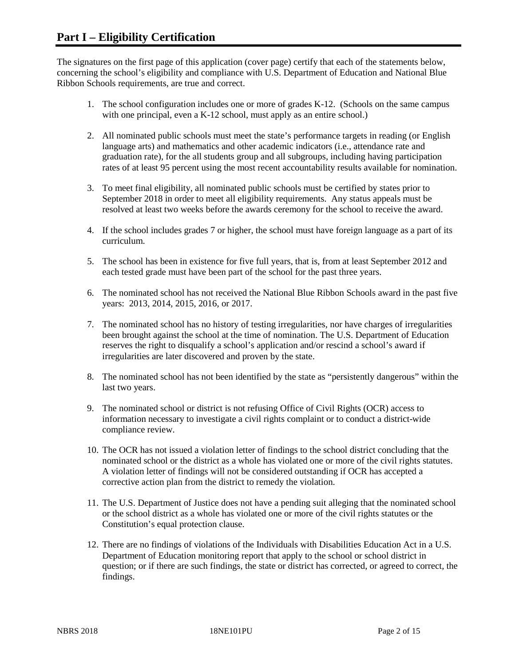The signatures on the first page of this application (cover page) certify that each of the statements below, concerning the school's eligibility and compliance with U.S. Department of Education and National Blue Ribbon Schools requirements, are true and correct.

- 1. The school configuration includes one or more of grades K-12. (Schools on the same campus with one principal, even a K-12 school, must apply as an entire school.)
- 2. All nominated public schools must meet the state's performance targets in reading (or English language arts) and mathematics and other academic indicators (i.e., attendance rate and graduation rate), for the all students group and all subgroups, including having participation rates of at least 95 percent using the most recent accountability results available for nomination.
- 3. To meet final eligibility, all nominated public schools must be certified by states prior to September 2018 in order to meet all eligibility requirements. Any status appeals must be resolved at least two weeks before the awards ceremony for the school to receive the award.
- 4. If the school includes grades 7 or higher, the school must have foreign language as a part of its curriculum.
- 5. The school has been in existence for five full years, that is, from at least September 2012 and each tested grade must have been part of the school for the past three years.
- 6. The nominated school has not received the National Blue Ribbon Schools award in the past five years: 2013, 2014, 2015, 2016, or 2017.
- 7. The nominated school has no history of testing irregularities, nor have charges of irregularities been brought against the school at the time of nomination. The U.S. Department of Education reserves the right to disqualify a school's application and/or rescind a school's award if irregularities are later discovered and proven by the state.
- 8. The nominated school has not been identified by the state as "persistently dangerous" within the last two years.
- 9. The nominated school or district is not refusing Office of Civil Rights (OCR) access to information necessary to investigate a civil rights complaint or to conduct a district-wide compliance review.
- 10. The OCR has not issued a violation letter of findings to the school district concluding that the nominated school or the district as a whole has violated one or more of the civil rights statutes. A violation letter of findings will not be considered outstanding if OCR has accepted a corrective action plan from the district to remedy the violation.
- 11. The U.S. Department of Justice does not have a pending suit alleging that the nominated school or the school district as a whole has violated one or more of the civil rights statutes or the Constitution's equal protection clause.
- 12. There are no findings of violations of the Individuals with Disabilities Education Act in a U.S. Department of Education monitoring report that apply to the school or school district in question; or if there are such findings, the state or district has corrected, or agreed to correct, the findings.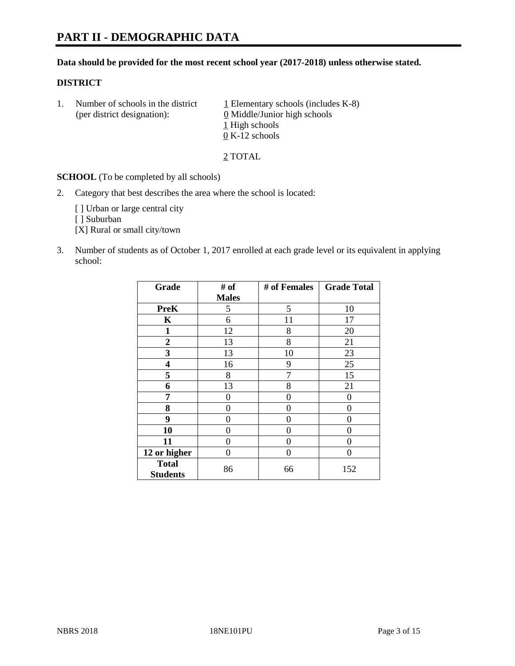#### **Data should be provided for the most recent school year (2017-2018) unless otherwise stated.**

### **DISTRICT**

1. Number of schools in the district  $1$  Elementary schools (includes K-8) (per district designation): 0 Middle/Junior high schools 1 High schools 0 K-12 schools

2 TOTAL

**SCHOOL** (To be completed by all schools)

2. Category that best describes the area where the school is located:

[] Urban or large central city

[ ] Suburban

[X] Rural or small city/town

3. Number of students as of October 1, 2017 enrolled at each grade level or its equivalent in applying school:

| Grade                           | # of         | # of Females | <b>Grade Total</b> |
|---------------------------------|--------------|--------------|--------------------|
|                                 | <b>Males</b> |              |                    |
| <b>PreK</b>                     | 5            | 5            | 10                 |
| K                               | 6            | 11           | 17                 |
| $\mathbf{1}$                    | 12           | 8            | 20                 |
| $\overline{2}$                  | 13           | 8            | 21                 |
| 3                               | 13           | 10           | 23                 |
| $\overline{\mathbf{4}}$         | 16           | 9            | 25                 |
| 5                               | 8            | 7            | 15                 |
| 6                               | 13           | 8            | 21                 |
| 7                               | 0            | 0            | 0                  |
| 8                               | 0            | 0            | 0                  |
| 9                               | 0            | 0            | 0                  |
| 10                              | 0            | 0            | 0                  |
| 11                              | 0            | 0            | 0                  |
| 12 or higher                    | 0            | 0            | 0                  |
| <b>Total</b><br><b>Students</b> | 86           | 66           | 152                |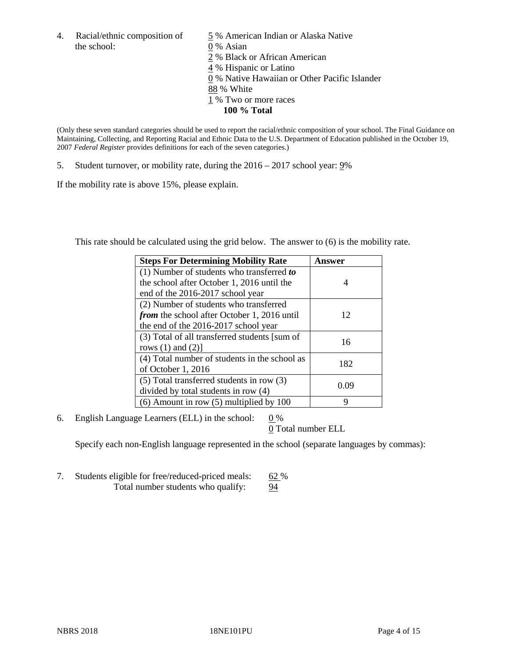the school: 0 % Asian

4. Racial/ethnic composition of  $\frac{5}{9}$ % American Indian or Alaska Native 2 % Black or African American 4 % Hispanic or Latino 0 % Native Hawaiian or Other Pacific Islander 88 % White 1 % Two or more races **100 % Total**

(Only these seven standard categories should be used to report the racial/ethnic composition of your school. The Final Guidance on Maintaining, Collecting, and Reporting Racial and Ethnic Data to the U.S. Department of Education published in the October 19, 2007 *Federal Register* provides definitions for each of the seven categories.)

5. Student turnover, or mobility rate, during the 2016 – 2017 school year: 9%

If the mobility rate is above 15%, please explain.

This rate should be calculated using the grid below. The answer to (6) is the mobility rate.

| <b>Steps For Determining Mobility Rate</b>         | Answer |
|----------------------------------------------------|--------|
| $(1)$ Number of students who transferred to        |        |
| the school after October 1, 2016 until the         | 4      |
| end of the 2016-2017 school year                   |        |
| (2) Number of students who transferred             |        |
| <i>from</i> the school after October 1, 2016 until | 12     |
| the end of the 2016-2017 school year               |        |
| (3) Total of all transferred students [sum of      | 16     |
| rows $(1)$ and $(2)$ ]                             |        |
| (4) Total number of students in the school as      |        |
| of October 1, 2016                                 | 182    |
| (5) Total transferred students in row (3)          |        |
| divided by total students in row (4)               | 0.09   |
| $(6)$ Amount in row $(5)$ multiplied by 100        | 9      |

6. English Language Learners (ELL) in the school:  $0\%$ 

0 Total number ELL

Specify each non-English language represented in the school (separate languages by commas):

7. Students eligible for free/reduced-priced meals: 62 % Total number students who qualify: 94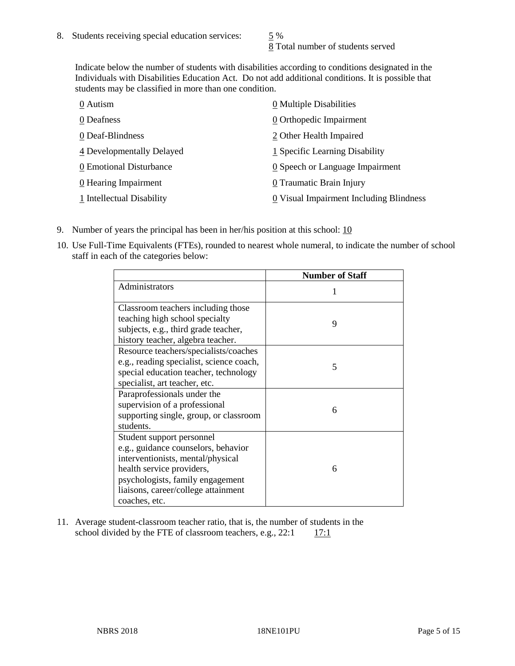8 Total number of students served

Indicate below the number of students with disabilities according to conditions designated in the Individuals with Disabilities Education Act. Do not add additional conditions. It is possible that students may be classified in more than one condition.

| 0 Autism                  | 0 Multiple Disabilities                 |
|---------------------------|-----------------------------------------|
| 0 Deafness                | 0 Orthopedic Impairment                 |
| 0 Deaf-Blindness          | 2 Other Health Impaired                 |
| 4 Developmentally Delayed | 1 Specific Learning Disability          |
| 0 Emotional Disturbance   | 0 Speech or Language Impairment         |
| 0 Hearing Impairment      | 0 Traumatic Brain Injury                |
| 1 Intellectual Disability | 0 Visual Impairment Including Blindness |

- 9. Number of years the principal has been in her/his position at this school: 10
- 10. Use Full-Time Equivalents (FTEs), rounded to nearest whole numeral, to indicate the number of school staff in each of the categories below:

|                                                                                                                                                                                                                                | <b>Number of Staff</b> |
|--------------------------------------------------------------------------------------------------------------------------------------------------------------------------------------------------------------------------------|------------------------|
| Administrators                                                                                                                                                                                                                 |                        |
| Classroom teachers including those<br>teaching high school specialty<br>subjects, e.g., third grade teacher,<br>history teacher, algebra teacher.                                                                              | 9                      |
| Resource teachers/specialists/coaches<br>e.g., reading specialist, science coach,<br>special education teacher, technology<br>specialist, art teacher, etc.                                                                    | 5                      |
| Paraprofessionals under the<br>supervision of a professional<br>supporting single, group, or classroom<br>students.                                                                                                            | 6                      |
| Student support personnel<br>e.g., guidance counselors, behavior<br>interventionists, mental/physical<br>health service providers,<br>psychologists, family engagement<br>liaisons, career/college attainment<br>coaches, etc. | 6                      |

11. Average student-classroom teacher ratio, that is, the number of students in the school divided by the FTE of classroom teachers, e.g.,  $22:1$  17:1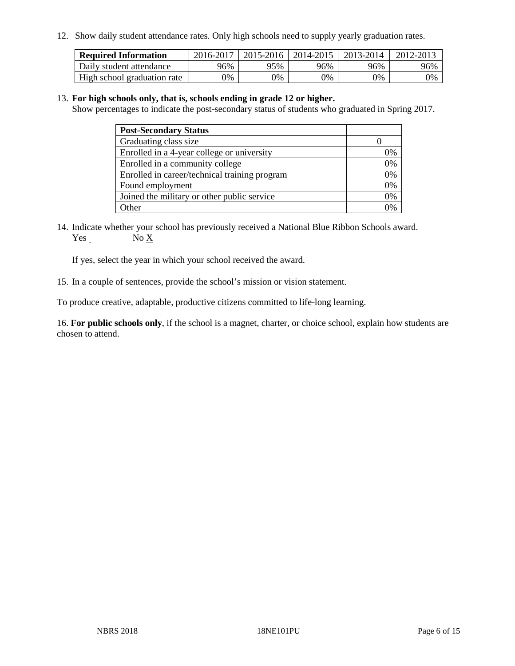12. Show daily student attendance rates. Only high schools need to supply yearly graduation rates.

| <b>Required Information</b> | 2016-2017 | $2015 - 2016$ | 2014-2015 | 2013-2014 | 2012-2013 |
|-----------------------------|-----------|---------------|-----------|-----------|-----------|
| Daily student attendance    | 96%       | 95%           | 96%       | 96%       | 96%       |
| High school graduation rate | 0%        | 0%            | 0%        | 9%        | 0%        |

#### 13. **For high schools only, that is, schools ending in grade 12 or higher.**

Show percentages to indicate the post-secondary status of students who graduated in Spring 2017.

| <b>Post-Secondary Status</b>                  |              |
|-----------------------------------------------|--------------|
| Graduating class size                         |              |
| Enrolled in a 4-year college or university    | 0%           |
| Enrolled in a community college               | 0%           |
| Enrolled in career/technical training program | 0%           |
| Found employment                              | 0%           |
| Joined the military or other public service   | 0%           |
| Other                                         | $\gamma_{0}$ |

14. Indicate whether your school has previously received a National Blue Ribbon Schools award. Yes No X

If yes, select the year in which your school received the award.

15. In a couple of sentences, provide the school's mission or vision statement.

To produce creative, adaptable, productive citizens committed to life-long learning.

16. **For public schools only**, if the school is a magnet, charter, or choice school, explain how students are chosen to attend.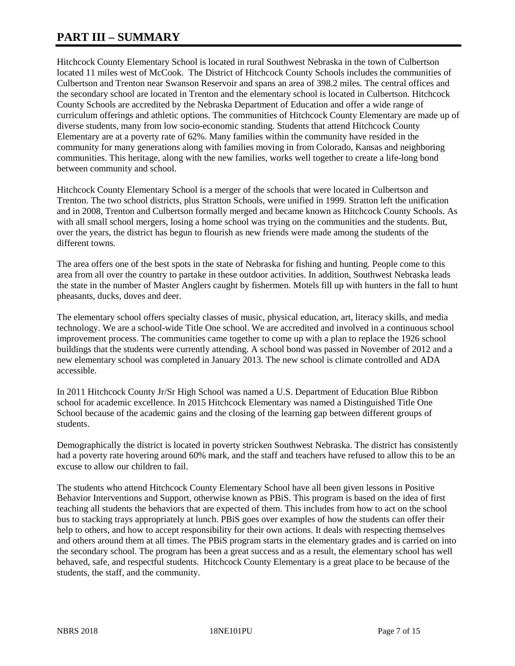# **PART III – SUMMARY**

Hitchcock County Elementary School is located in rural Southwest Nebraska in the town of Culbertson located 11 miles west of McCook. The District of Hitchcock County Schools includes the communities of Culbertson and Trenton near Swanson Reservoir and spans an area of 398.2 miles. The central offices and the secondary school are located in Trenton and the elementary school is located in Culbertson. Hitchcock County Schools are accredited by the Nebraska Department of Education and offer a wide range of curriculum offerings and athletic options. The communities of Hitchcock County Elementary are made up of diverse students, many from low socio-economic standing. Students that attend Hitchcock County Elementary are at a poverty rate of 62%. Many families within the community have resided in the community for many generations along with families moving in from Colorado, Kansas and neighboring communities. This heritage, along with the new families, works well together to create a life-long bond between community and school.

Hitchcock County Elementary School is a merger of the schools that were located in Culbertson and Trenton. The two school districts, plus Stratton Schools, were unified in 1999. Stratton left the unification and in 2008, Trenton and Culbertson formally merged and became known as Hitchcock County Schools. As with all small school mergers, losing a home school was trying on the communities and the students. But, over the years, the district has begun to flourish as new friends were made among the students of the different towns.

The area offers one of the best spots in the state of Nebraska for fishing and hunting. People come to this area from all over the country to partake in these outdoor activities. In addition, Southwest Nebraska leads the state in the number of Master Anglers caught by fishermen. Motels fill up with hunters in the fall to hunt pheasants, ducks, doves and deer.

The elementary school offers specialty classes of music, physical education, art, literacy skills, and media technology. We are a school-wide Title One school. We are accredited and involved in a continuous school improvement process. The communities came together to come up with a plan to replace the 1926 school buildings that the students were currently attending. A school bond was passed in November of 2012 and a new elementary school was completed in January 2013. The new school is climate controlled and ADA accessible.

In 2011 Hitchcock County Jr/Sr High School was named a U.S. Department of Education Blue Ribbon school for academic excellence. In 2015 Hitchcock Elementary was named a Distinguished Title One School because of the academic gains and the closing of the learning gap between different groups of students.

Demographically the district is located in poverty stricken Southwest Nebraska. The district has consistently had a poverty rate hovering around 60% mark, and the staff and teachers have refused to allow this to be an excuse to allow our children to fail.

The students who attend Hitchcock County Elementary School have all been given lessons in Positive Behavior Interventions and Support, otherwise known as PBiS. This program is based on the idea of first teaching all students the behaviors that are expected of them. This includes from how to act on the school bus to stacking trays appropriately at lunch. PBiS goes over examples of how the students can offer their help to others, and how to accept responsibility for their own actions. It deals with respecting themselves and others around them at all times. The PBiS program starts in the elementary grades and is carried on into the secondary school. The program has been a great success and as a result, the elementary school has well behaved, safe, and respectful students. Hitchcock County Elementary is a great place to be because of the students, the staff, and the community.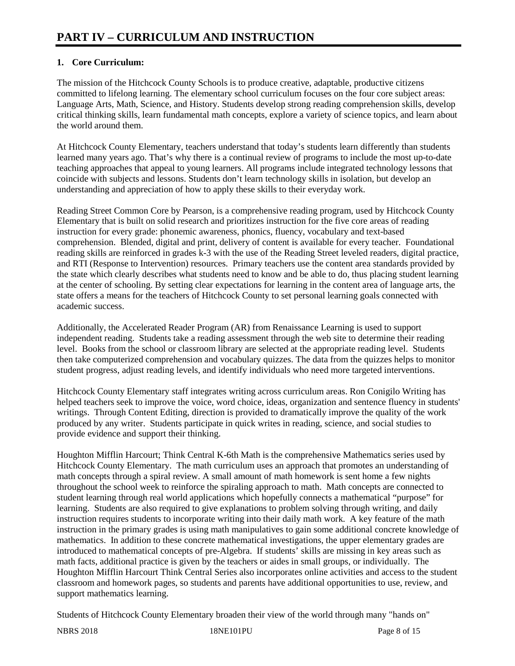## **1. Core Curriculum:**

The mission of the Hitchcock County Schools is to produce creative, adaptable, productive citizens committed to lifelong learning. The elementary school curriculum focuses on the four core subject areas: Language Arts, Math, Science, and History. Students develop strong reading comprehension skills, develop critical thinking skills, learn fundamental math concepts, explore a variety of science topics, and learn about the world around them.

At Hitchcock County Elementary, teachers understand that today's students learn differently than students learned many years ago. That's why there is a continual review of programs to include the most up-to-date teaching approaches that appeal to young learners. All programs include integrated technology lessons that coincide with subjects and lessons. Students don't learn technology skills in isolation, but develop an understanding and appreciation of how to apply these skills to their everyday work.

Reading Street Common Core by Pearson, is a comprehensive reading program, used by Hitchcock County Elementary that is built on solid research and prioritizes instruction for the five core areas of reading instruction for every grade: phonemic awareness, phonics, fluency, vocabulary and text-based comprehension. Blended, digital and print, delivery of content is available for every teacher. Foundational reading skills are reinforced in grades k-3 with the use of the Reading Street leveled readers, digital practice, and RTI (Response to Intervention) resources. Primary teachers use the content area standards provided by the state which clearly describes what students need to know and be able to do, thus placing student learning at the center of schooling. By setting clear expectations for learning in the content area of language arts, the state offers a means for the teachers of Hitchcock County to set personal learning goals connected with academic success.

Additionally, the Accelerated Reader Program (AR) from Renaissance Learning is used to support independent reading. Students take a reading assessment through the web site to determine their reading level. Books from the school or classroom library are selected at the appropriate reading level. Students then take computerized comprehension and vocabulary quizzes. The data from the quizzes helps to monitor student progress, adjust reading levels, and identify individuals who need more targeted interventions.

Hitchcock County Elementary staff integrates writing across curriculum areas. Ron Conigilo Writing has helped teachers seek to improve the voice, word choice, ideas, organization and sentence fluency in students' writings. Through Content Editing, direction is provided to dramatically improve the quality of the work produced by any writer. Students participate in quick writes in reading, science, and social studies to provide evidence and support their thinking.

Houghton Mifflin Harcourt; Think Central K-6th Math is the comprehensive Mathematics series used by Hitchcock County Elementary. The math curriculum uses an approach that promotes an understanding of math concepts through a spiral review. A small amount of math homework is sent home a few nights throughout the school week to reinforce the spiraling approach to math. Math concepts are connected to student learning through real world applications which hopefully connects a mathematical "purpose" for learning. Students are also required to give explanations to problem solving through writing, and daily instruction requires students to incorporate writing into their daily math work. A key feature of the math instruction in the primary grades is using math manipulatives to gain some additional concrete knowledge of mathematics. In addition to these concrete mathematical investigations, the upper elementary grades are introduced to mathematical concepts of pre-Algebra. If students' skills are missing in key areas such as math facts, additional practice is given by the teachers or aides in small groups, or individually. The Houghton Mifflin Harcourt Think Central Series also incorporates online activities and access to the student classroom and homework pages, so students and parents have additional opportunities to use, review, and support mathematics learning.

Students of Hitchcock County Elementary broaden their view of the world through many "hands on"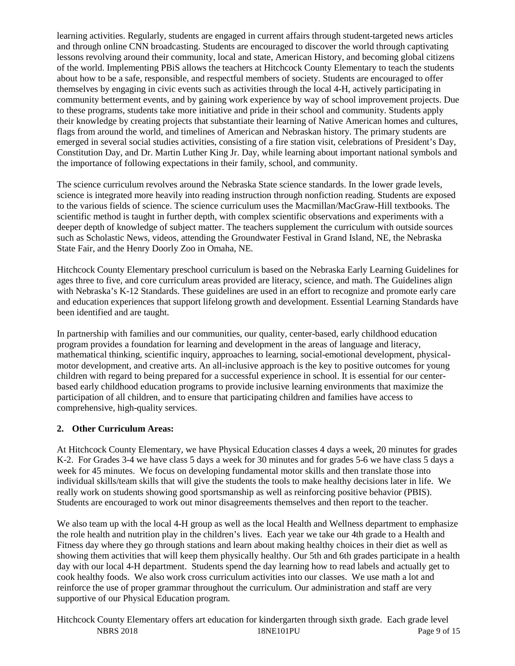learning activities. Regularly, students are engaged in current affairs through student-targeted news articles and through online CNN broadcasting. Students are encouraged to discover the world through captivating lessons revolving around their community, local and state, American History, and becoming global citizens of the world. Implementing PBiS allows the teachers at Hitchcock County Elementary to teach the students about how to be a safe, responsible, and respectful members of society. Students are encouraged to offer themselves by engaging in civic events such as activities through the local 4-H, actively participating in community betterment events, and by gaining work experience by way of school improvement projects. Due to these programs, students take more initiative and pride in their school and community. Students apply their knowledge by creating projects that substantiate their learning of Native American homes and cultures, flags from around the world, and timelines of American and Nebraskan history. The primary students are emerged in several social studies activities, consisting of a fire station visit, celebrations of President's Day, Constitution Day, and Dr. Martin Luther King Jr. Day, while learning about important national symbols and the importance of following expectations in their family, school, and community.

The science curriculum revolves around the Nebraska State science standards. In the lower grade levels, science is integrated more heavily into reading instruction through nonfiction reading. Students are exposed to the various fields of science. The science curriculum uses the Macmillan/MacGraw-Hill textbooks. The scientific method is taught in further depth, with complex scientific observations and experiments with a deeper depth of knowledge of subject matter. The teachers supplement the curriculum with outside sources such as Scholastic News, videos, attending the Groundwater Festival in Grand Island, NE, the Nebraska State Fair, and the Henry Doorly Zoo in Omaha, NE.

Hitchcock County Elementary preschool curriculum is based on the Nebraska Early Learning Guidelines for ages three to five, and core curriculum areas provided are literacy, science, and math. The Guidelines align with Nebraska's K-12 Standards. These guidelines are used in an effort to recognize and promote early care and education experiences that support lifelong growth and development. Essential Learning Standards have been identified and are taught.

In partnership with families and our communities, our quality, center-based, early childhood education program provides a foundation for learning and development in the areas of language and literacy, mathematical thinking, scientific inquiry, approaches to learning, social-emotional development, physicalmotor development, and creative arts. An all-inclusive approach is the key to positive outcomes for young children with regard to being prepared for a successful experience in school. It is essential for our centerbased early childhood education programs to provide inclusive learning environments that maximize the participation of all children, and to ensure that participating children and families have access to comprehensive, high-quality services.

## **2. Other Curriculum Areas:**

At Hitchcock County Elementary, we have Physical Education classes 4 days a week, 20 minutes for grades K-2. For Grades 3-4 we have class 5 days a week for 30 minutes and for grades 5-6 we have class 5 days a week for 45 minutes. We focus on developing fundamental motor skills and then translate those into individual skills/team skills that will give the students the tools to make healthy decisions later in life. We really work on students showing good sportsmanship as well as reinforcing positive behavior (PBIS). Students are encouraged to work out minor disagreements themselves and then report to the teacher.

We also team up with the local 4-H group as well as the local Health and Wellness department to emphasize the role health and nutrition play in the children's lives. Each year we take our 4th grade to a Health and Fitness day where they go through stations and learn about making healthy choices in their diet as well as showing them activities that will keep them physically healthy. Our 5th and 6th grades participate in a health day with our local 4-H department. Students spend the day learning how to read labels and actually get to cook healthy foods. We also work cross curriculum activities into our classes. We use math a lot and reinforce the use of proper grammar throughout the curriculum. Our administration and staff are very supportive of our Physical Education program.

NBRS 2018 18NE101PU Page 9 of 15 Hitchcock County Elementary offers art education for kindergarten through sixth grade. Each grade level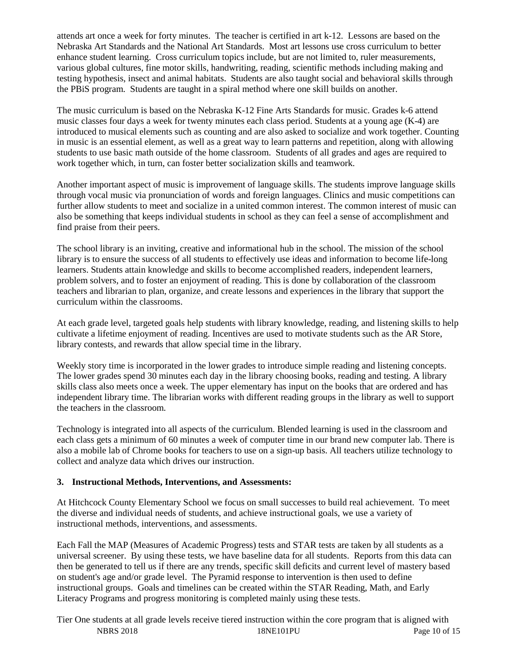attends art once a week for forty minutes. The teacher is certified in art k-12. Lessons are based on the Nebraska Art Standards and the National Art Standards. Most art lessons use cross curriculum to better enhance student learning. Cross curriculum topics include, but are not limited to, ruler measurements, various global cultures, fine motor skills, handwriting, reading, scientific methods including making and testing hypothesis, insect and animal habitats. Students are also taught social and behavioral skills through the PBiS program. Students are taught in a spiral method where one skill builds on another.

The music curriculum is based on the Nebraska K-12 Fine Arts Standards for music. Grades k-6 attend music classes four days a week for twenty minutes each class period. Students at a young age (K-4) are introduced to musical elements such as counting and are also asked to socialize and work together. Counting in music is an essential element, as well as a great way to learn patterns and repetition, along with allowing students to use basic math outside of the home classroom. Students of all grades and ages are required to work together which, in turn, can foster better socialization skills and teamwork.

Another important aspect of music is improvement of language skills. The students improve language skills through vocal music via pronunciation of words and foreign languages. Clinics and music competitions can further allow students to meet and socialize in a united common interest. The common interest of music can also be something that keeps individual students in school as they can feel a sense of accomplishment and find praise from their peers.

The school library is an inviting, creative and informational hub in the school. The mission of the school library is to ensure the success of all students to effectively use ideas and information to become life-long learners. Students attain knowledge and skills to become accomplished readers, independent learners, problem solvers, and to foster an enjoyment of reading. This is done by collaboration of the classroom teachers and librarian to plan, organize, and create lessons and experiences in the library that support the curriculum within the classrooms.

At each grade level, targeted goals help students with library knowledge, reading, and listening skills to help cultivate a lifetime enjoyment of reading. Incentives are used to motivate students such as the AR Store, library contests, and rewards that allow special time in the library.

Weekly story time is incorporated in the lower grades to introduce simple reading and listening concepts. The lower grades spend 30 minutes each day in the library choosing books, reading and testing. A library skills class also meets once a week. The upper elementary has input on the books that are ordered and has independent library time. The librarian works with different reading groups in the library as well to support the teachers in the classroom.

Technology is integrated into all aspects of the curriculum. Blended learning is used in the classroom and each class gets a minimum of 60 minutes a week of computer time in our brand new computer lab. There is also a mobile lab of Chrome books for teachers to use on a sign-up basis. All teachers utilize technology to collect and analyze data which drives our instruction.

#### **3. Instructional Methods, Interventions, and Assessments:**

At Hitchcock County Elementary School we focus on small successes to build real achievement. To meet the diverse and individual needs of students, and achieve instructional goals, we use a variety of instructional methods, interventions, and assessments.

Each Fall the MAP (Measures of Academic Progress) tests and STAR tests are taken by all students as a universal screener. By using these tests, we have baseline data for all students. Reports from this data can then be generated to tell us if there are any trends, specific skill deficits and current level of mastery based on student's age and/or grade level. The Pyramid response to intervention is then used to define instructional groups. Goals and timelines can be created within the STAR Reading, Math, and Early Literacy Programs and progress monitoring is completed mainly using these tests.

NBRS 2018 18NE101PU Page 10 of 15 Tier One students at all grade levels receive tiered instruction within the core program that is aligned with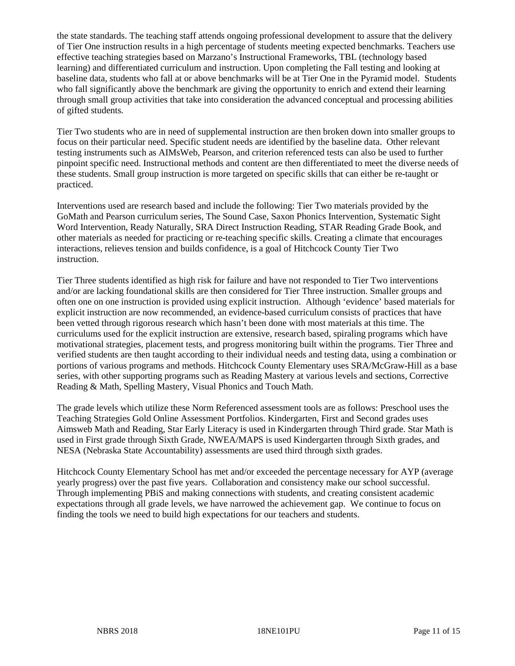the state standards. The teaching staff attends ongoing professional development to assure that the delivery of Tier One instruction results in a high percentage of students meeting expected benchmarks. Teachers use effective teaching strategies based on Marzano's Instructional Frameworks, TBL (technology based learning) and differentiated curriculum and instruction. Upon completing the Fall testing and looking at baseline data, students who fall at or above benchmarks will be at Tier One in the Pyramid model. Students who fall significantly above the benchmark are giving the opportunity to enrich and extend their learning through small group activities that take into consideration the advanced conceptual and processing abilities of gifted students.

Tier Two students who are in need of supplemental instruction are then broken down into smaller groups to focus on their particular need. Specific student needs are identified by the baseline data. Other relevant testing instruments such as AIMsWeb, Pearson, and criterion referenced tests can also be used to further pinpoint specific need. Instructional methods and content are then differentiated to meet the diverse needs of these students. Small group instruction is more targeted on specific skills that can either be re-taught or practiced.

Interventions used are research based and include the following: Tier Two materials provided by the GoMath and Pearson curriculum series, The Sound Case, Saxon Phonics Intervention, Systematic Sight Word Intervention, Ready Naturally, SRA Direct Instruction Reading, STAR Reading Grade Book, and other materials as needed for practicing or re-teaching specific skills. Creating a climate that encourages interactions, relieves tension and builds confidence, is a goal of Hitchcock County Tier Two instruction.

Tier Three students identified as high risk for failure and have not responded to Tier Two interventions and/or are lacking foundational skills are then considered for Tier Three instruction. Smaller groups and often one on one instruction is provided using explicit instruction. Although 'evidence' based materials for explicit instruction are now recommended, an evidence-based curriculum consists of practices that have been vetted through rigorous research which hasn't been done with most materials at this time. The curriculums used for the explicit instruction are extensive, research based, spiraling programs which have motivational strategies, placement tests, and progress monitoring built within the programs. Tier Three and verified students are then taught according to their individual needs and testing data, using a combination or portions of various programs and methods. Hitchcock County Elementary uses SRA/McGraw-Hill as a base series, with other supporting programs such as Reading Mastery at various levels and sections, Corrective Reading & Math, Spelling Mastery, Visual Phonics and Touch Math.

The grade levels which utilize these Norm Referenced assessment tools are as follows: Preschool uses the Teaching Strategies Gold Online Assessment Portfolios. Kindergarten, First and Second grades uses Aimsweb Math and Reading, Star Early Literacy is used in Kindergarten through Third grade. Star Math is used in First grade through Sixth Grade, NWEA/MAPS is used Kindergarten through Sixth grades, and NESA (Nebraska State Accountability) assessments are used third through sixth grades.

Hitchcock County Elementary School has met and/or exceeded the percentage necessary for AYP (average yearly progress) over the past five years. Collaboration and consistency make our school successful. Through implementing PBiS and making connections with students, and creating consistent academic expectations through all grade levels, we have narrowed the achievement gap. We continue to focus on finding the tools we need to build high expectations for our teachers and students.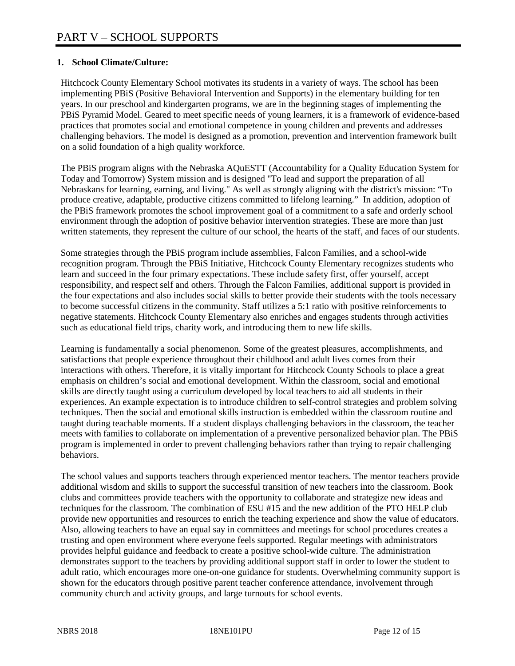### **1. School Climate/Culture:**

Hitchcock County Elementary School motivates its students in a variety of ways. The school has been implementing PBiS (Positive Behavioral Intervention and Supports) in the elementary building for ten years. In our preschool and kindergarten programs, we are in the beginning stages of implementing the PBiS Pyramid Model. Geared to meet specific needs of young learners, it is a framework of evidence-based practices that promotes social and emotional competence in young children and prevents and addresses challenging behaviors. The model is designed as a promotion, prevention and intervention framework built on a solid foundation of a high quality workforce.

The PBiS program aligns with the Nebraska AQuESTT (Accountability for a Quality Education System for Today and Tomorrow) System mission and is designed "To lead and support the preparation of all Nebraskans for learning, earning, and living." As well as strongly aligning with the district's mission: "To produce creative, adaptable, productive citizens committed to lifelong learning." In addition, adoption of the PBiS framework promotes the school improvement goal of a commitment to a safe and orderly school environment through the adoption of positive behavior intervention strategies. These are more than just written statements, they represent the culture of our school, the hearts of the staff, and faces of our students.

Some strategies through the PBiS program include assemblies, Falcon Families, and a school-wide recognition program. Through the PBiS Initiative, Hitchcock County Elementary recognizes students who learn and succeed in the four primary expectations. These include safety first, offer yourself, accept responsibility, and respect self and others. Through the Falcon Families, additional support is provided in the four expectations and also includes social skills to better provide their students with the tools necessary to become successful citizens in the community. Staff utilizes a 5:1 ratio with positive reinforcements to negative statements. Hitchcock County Elementary also enriches and engages students through activities such as educational field trips, charity work, and introducing them to new life skills.

Learning is fundamentally a social phenomenon. Some of the greatest pleasures, accomplishments, and satisfactions that people experience throughout their childhood and adult lives comes from their interactions with others. Therefore, it is vitally important for Hitchcock County Schools to place a great emphasis on children's social and emotional development. Within the classroom, social and emotional skills are directly taught using a curriculum developed by local teachers to aid all students in their experiences. An example expectation is to introduce children to self-control strategies and problem solving techniques. Then the social and emotional skills instruction is embedded within the classroom routine and taught during teachable moments. If a student displays challenging behaviors in the classroom, the teacher meets with families to collaborate on implementation of a preventive personalized behavior plan. The PBiS program is implemented in order to prevent challenging behaviors rather than trying to repair challenging behaviors.

The school values and supports teachers through experienced mentor teachers. The mentor teachers provide additional wisdom and skills to support the successful transition of new teachers into the classroom. Book clubs and committees provide teachers with the opportunity to collaborate and strategize new ideas and techniques for the classroom. The combination of ESU #15 and the new addition of the PTO HELP club provide new opportunities and resources to enrich the teaching experience and show the value of educators. Also, allowing teachers to have an equal say in committees and meetings for school procedures creates a trusting and open environment where everyone feels supported. Regular meetings with administrators provides helpful guidance and feedback to create a positive school-wide culture. The administration demonstrates support to the teachers by providing additional support staff in order to lower the student to adult ratio, which encourages more one-on-one guidance for students. Overwhelming community support is shown for the educators through positive parent teacher conference attendance, involvement through community church and activity groups, and large turnouts for school events.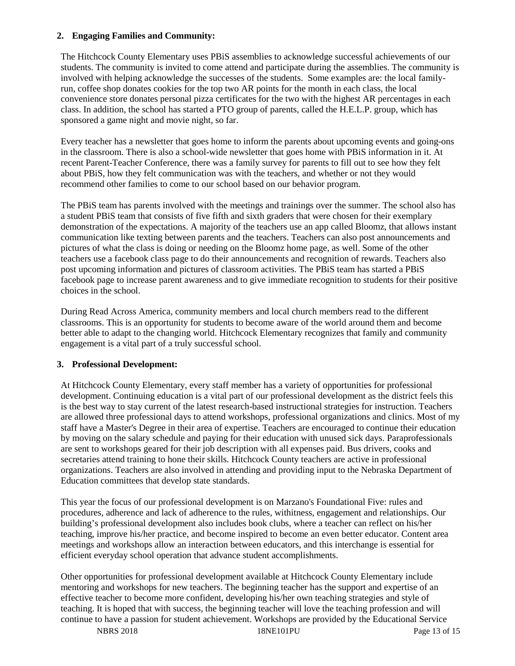#### **2. Engaging Families and Community:**

The Hitchcock County Elementary uses PBiS assemblies to acknowledge successful achievements of our students. The community is invited to come attend and participate during the assemblies. The community is involved with helping acknowledge the successes of the students. Some examples are: the local familyrun, coffee shop donates cookies for the top two AR points for the month in each class, the local convenience store donates personal pizza certificates for the two with the highest AR percentages in each class. In addition, the school has started a PTO group of parents, called the H.E.L.P. group, which has sponsored a game night and movie night, so far.

Every teacher has a newsletter that goes home to inform the parents about upcoming events and going-ons in the classroom. There is also a school-wide newsletter that goes home with PBiS information in it. At recent Parent-Teacher Conference, there was a family survey for parents to fill out to see how they felt about PBiS, how they felt communication was with the teachers, and whether or not they would recommend other families to come to our school based on our behavior program.

The PBiS team has parents involved with the meetings and trainings over the summer. The school also has a student PBiS team that consists of five fifth and sixth graders that were chosen for their exemplary demonstration of the expectations. A majority of the teachers use an app called Bloomz, that allows instant communication like texting between parents and the teachers. Teachers can also post announcements and pictures of what the class is doing or needing on the Bloomz home page, as well. Some of the other teachers use a facebook class page to do their announcements and recognition of rewards. Teachers also post upcoming information and pictures of classroom activities. The PBiS team has started a PBiS facebook page to increase parent awareness and to give immediate recognition to students for their positive choices in the school.

During Read Across America, community members and local church members read to the different classrooms. This is an opportunity for students to become aware of the world around them and become better able to adapt to the changing world. Hitchcock Elementary recognizes that family and community engagement is a vital part of a truly successful school.

#### **3. Professional Development:**

At Hitchcock County Elementary, every staff member has a variety of opportunities for professional development. Continuing education is a vital part of our professional development as the district feels this is the best way to stay current of the latest research-based instructional strategies for instruction. Teachers are allowed three professional days to attend workshops, professional organizations and clinics. Most of my staff have a Master's Degree in their area of expertise. Teachers are encouraged to continue their education by moving on the salary schedule and paying for their education with unused sick days. Paraprofessionals are sent to workshops geared for their job description with all expenses paid. Bus drivers, cooks and secretaries attend training to hone their skills. Hitchcock County teachers are active in professional organizations. Teachers are also involved in attending and providing input to the Nebraska Department of Education committees that develop state standards.

This year the focus of our professional development is on Marzano's Foundational Five: rules and procedures, adherence and lack of adherence to the rules, withitness, engagement and relationships. Our building's professional development also includes book clubs, where a teacher can reflect on his/her teaching, improve his/her practice, and become inspired to become an even better educator. Content area meetings and workshops allow an interaction between educators, and this interchange is essential for efficient everyday school operation that advance student accomplishments.

Other opportunities for professional development available at Hitchcock County Elementary include mentoring and workshops for new teachers. The beginning teacher has the support and expertise of an effective teacher to become more confident, developing his/her own teaching strategies and style of teaching. It is hoped that with success, the beginning teacher will love the teaching profession and will continue to have a passion for student achievement. Workshops are provided by the Educational Service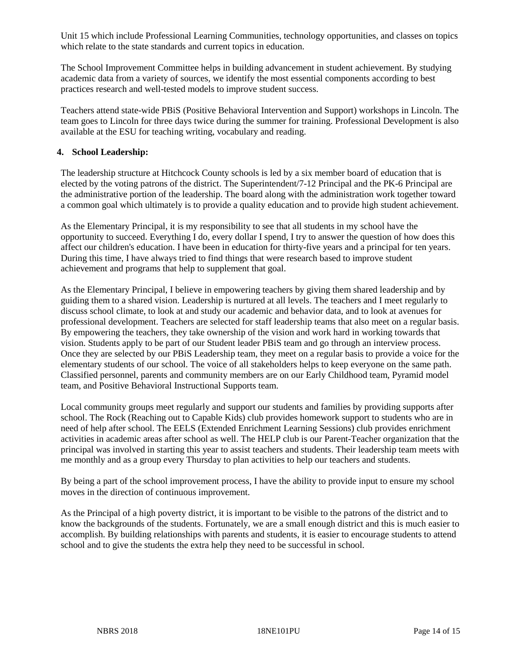Unit 15 which include Professional Learning Communities, technology opportunities, and classes on topics which relate to the state standards and current topics in education.

The School Improvement Committee helps in building advancement in student achievement. By studying academic data from a variety of sources, we identify the most essential components according to best practices research and well-tested models to improve student success.

Teachers attend state-wide PBiS (Positive Behavioral Intervention and Support) workshops in Lincoln. The team goes to Lincoln for three days twice during the summer for training. Professional Development is also available at the ESU for teaching writing, vocabulary and reading.

#### **4. School Leadership:**

The leadership structure at Hitchcock County schools is led by a six member board of education that is elected by the voting patrons of the district. The Superintendent/7-12 Principal and the PK-6 Principal are the administrative portion of the leadership. The board along with the administration work together toward a common goal which ultimately is to provide a quality education and to provide high student achievement.

As the Elementary Principal, it is my responsibility to see that all students in my school have the opportunity to succeed. Everything I do, every dollar I spend, I try to answer the question of how does this affect our children's education. I have been in education for thirty-five years and a principal for ten years. During this time, I have always tried to find things that were research based to improve student achievement and programs that help to supplement that goal.

As the Elementary Principal, I believe in empowering teachers by giving them shared leadership and by guiding them to a shared vision. Leadership is nurtured at all levels. The teachers and I meet regularly to discuss school climate, to look at and study our academic and behavior data, and to look at avenues for professional development. Teachers are selected for staff leadership teams that also meet on a regular basis. By empowering the teachers, they take ownership of the vision and work hard in working towards that vision. Students apply to be part of our Student leader PBiS team and go through an interview process. Once they are selected by our PBiS Leadership team, they meet on a regular basis to provide a voice for the elementary students of our school. The voice of all stakeholders helps to keep everyone on the same path. Classified personnel, parents and community members are on our Early Childhood team, Pyramid model team, and Positive Behavioral Instructional Supports team.

Local community groups meet regularly and support our students and families by providing supports after school. The Rock (Reaching out to Capable Kids) club provides homework support to students who are in need of help after school. The EELS (Extended Enrichment Learning Sessions) club provides enrichment activities in academic areas after school as well. The HELP club is our Parent-Teacher organization that the principal was involved in starting this year to assist teachers and students. Their leadership team meets with me monthly and as a group every Thursday to plan activities to help our teachers and students.

By being a part of the school improvement process, I have the ability to provide input to ensure my school moves in the direction of continuous improvement.

As the Principal of a high poverty district, it is important to be visible to the patrons of the district and to know the backgrounds of the students. Fortunately, we are a small enough district and this is much easier to accomplish. By building relationships with parents and students, it is easier to encourage students to attend school and to give the students the extra help they need to be successful in school.